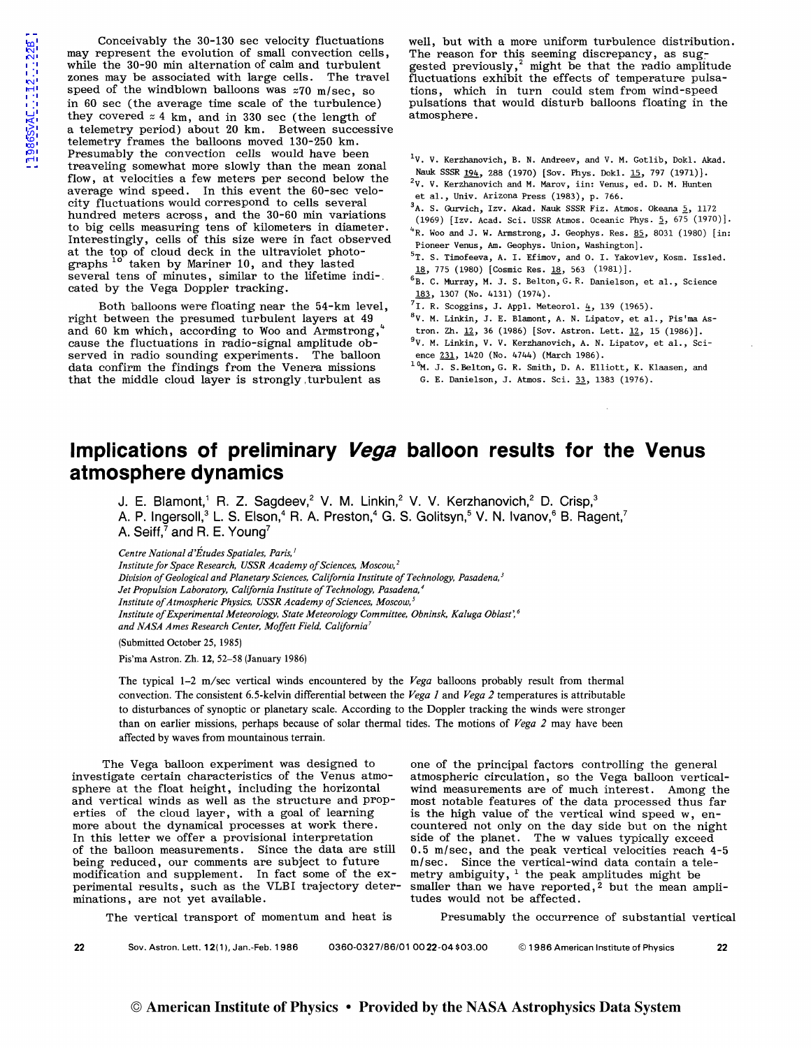Conceivably the 30-130 sec velocity fluctuations may represent the evolution of small convection cells, while the 30-90 min alternation of calm and turbulent zones may be associated with large cells. The travel speed of the windblown balloons was  $z70$  m/sec, so in 60 sec (the average time scale of the turbulence) they covered  $z$  4 km, and in 330 sec (the length of a telemetry period) about 20 km. Between successive telemetry frames the balloons moved 130-250 km. Presumably the convection cells would have been treaveling somewhat more slowly than the mean zonal flow, at velocities a few meters per second below the average wind speed. In this event the 60-sec velocity fluctuations would correspond to cells several hundred meters across, and the 30-60 min variations to big cells measuring tens of kilometers in diameter. Interestingly, cells of this size were in fact observed at the top of cloud deck in the ultraviolet photographs <sup>10</sup> taken by Mariner 10, and they lasted several tens of minutes, similar to the lifetime indi-. cated by the Vega Doppler tracking.

Both balloons were floating near the 54-km level, right between the presumed turbulent layers at 49 and 60 km which, according to Woo and Armstrong, cause the fluctuations in radio-signal amplitude observed in radio sounding experiments. The balloon data confirm the findings from the Venera missions that the middle cloud layer is strongly , turbulent as

well, but with a more uniform turbulence distribution. The reason for this seeming discrepancy, as suggested previously,<sup>2</sup> might be that the radio amplitude fluctuations exhibit the effects of temperature pulsations, which in turn could stem from wind-speed pulsations that would disturb balloons floating in the atmosphere.

- <sup>1</sup>V. V. Kerzhanovich, B. N. Andreev, and V. M. Gotlib, Dokl. Akad. Nauk SSSR 194, 288 (1970) [Sov. Phys. Dok1. 15, 797 (1971)].
- 2V. V. Kerzhanovich and M. Marov, iin: Venus, ed. D. M. Hunten et al., Univ. Arizona Press (1983), p. 766.
- 
- $3A.$  S. Gurvich, Izv. Akad. Nauk SSSR Fiz. Atmos. Okeana  $5, 1172$
- (1969) [Izv. Acad. Sci. USSR Atmos. Oceanic Phys.  $5, 675 (1970)$ ].  $4R.$  Woo and J. W. Armstrong, J. Geophys. Res. 85, 8031 (1980) [in: Pioneer Venus, Am. Geophys. Union, Washington].
- 5T. s. Timofeeva, A. I. Efimov, and O. I. Yakovlev, Kosm. Issled. 18, 775 (1980) [Cosmic Res. 18, 563 (1981)].
- 6B. C. Murray, M. J. S. Belton, G. R. Danielson, et al., Science 183, 1307 (No. 4131) (1974).
- $7\overline{1.}$  R. Scoggins, J. Appl. Meteorol.  $\overline{4}$ , 139 (1965).
- <sup>8</sup> V. M. Linkin, J. E. Blamont, A. N. Lipatov, et al., Pis'ma As-
- tron. Zh.  $12$ , 36 (1986) [Sov. Astron. Lett.  $12$ , 15 (1986)]. 9V. M. Linkin, V. V. Kerzhanovich, A. N. Lipatov, et al., Sci-
- ence  $231, 1420$  (No. 4744) (March 1986). <sup>10</sup>M. J. S. Belton, G. R. Smith, D. A. Elliott, K. Klaasen, and
- G. E. Danielson, J. Atmos. Sci. 33, 1383 (1976).

## **Implications of preliminary Vega balloon results for the Venus atmosphere dynamics**

**J. E. Blamont, 1 R. Z. Sagdeev,2 V. M. Linkin,2 V. V. Kerzhanovich,2 D. Crisp,<sup>3</sup> A. P. lngersoll,3 L. S. Elson,4 R. A. Preston,4 G. S. Golitsyn,5 V. N. lvanov,6 8. Ragent, <sup>7</sup> A. Seiff,7 and R. E. Young<sup>7</sup>**

*Centre National d'Etudes Spatiales, Paris,* <sup>1</sup>

*Institute for Space Research, USSR Academy of Sciences, Moscow, 2 Division of Geological and Planetary Sciences, California Institute of Technology, Pasadena, 3 Jet Propulsion Laboratory, California Institute of Technology, Pasadena,' Institute of Atmospheric Physics, USSR Academy of Sciences, Moscow, 5 Institute of Experimental Meteorology, State Meteorology Committee, Obninsk, Kaluga Oblast'. 6 and NASA Ames Research Center, Moffett Field, California'* 

(Submitted October 25, 1985)

Pis'ma Astron. Zh. 12, 52-58 (January 1986)

The typical 1-2 m/sec vertical winds encountered by the *Vega* balloons probably result from thermal convection. The consistent 6.5-kelvin differential between the *Vega 1* and *Vega 2* temperatures is attributable to disturbances of synoptic or planetary scale. According to the Doppler tracking the winds were stronger than on earlier missions, perhaps because of solar thermal tides. The motions of *Vega 2* may have been affected by waves from mountainous terrain.

The Vega balloon experiment was designed to investigate certain characteristics of the Venus atmosphere at the float height, including the horizontal and vertical winds as well as the structure and properties of the cloud layer, with a goal of learning more about the dynamical processes at work there. In this letter we offer a provisional interpretation of the balloon measurements. Since the data are still being reduced, our comments are subject to future modification and supplement. In fact some of the experimental results, such as the VLBI trajectory determinations, are not yet available.

one of the principal factors controlling the general atmospheric circulation, so the Vega balloon verticalwind measurements are of much interest. Among the most notable features of the data processed thus far is the high value of the vertical wind speed w, encountered not only on the day side but on the night side of the planet. The w values typically exceed 0.5 m/sec, and the peak vertical velocities reach 4-5 m/sec. Since the vertical-wind data contain a telemetry ambiguity,  $1$  the peak amplitudes might be smaller than we have reported,<sup>2</sup> but the mean amplitudes would not be affected.

The vertical transport of momentum and heat is Presumably the occurrence of substantial vertical

**22** Sov. Astron. Lett. 12(1), Jan.-Feb. 1986 0360-0327/86/01 00 22 -04 \$03.00 © 1986 American Institute of Physics 22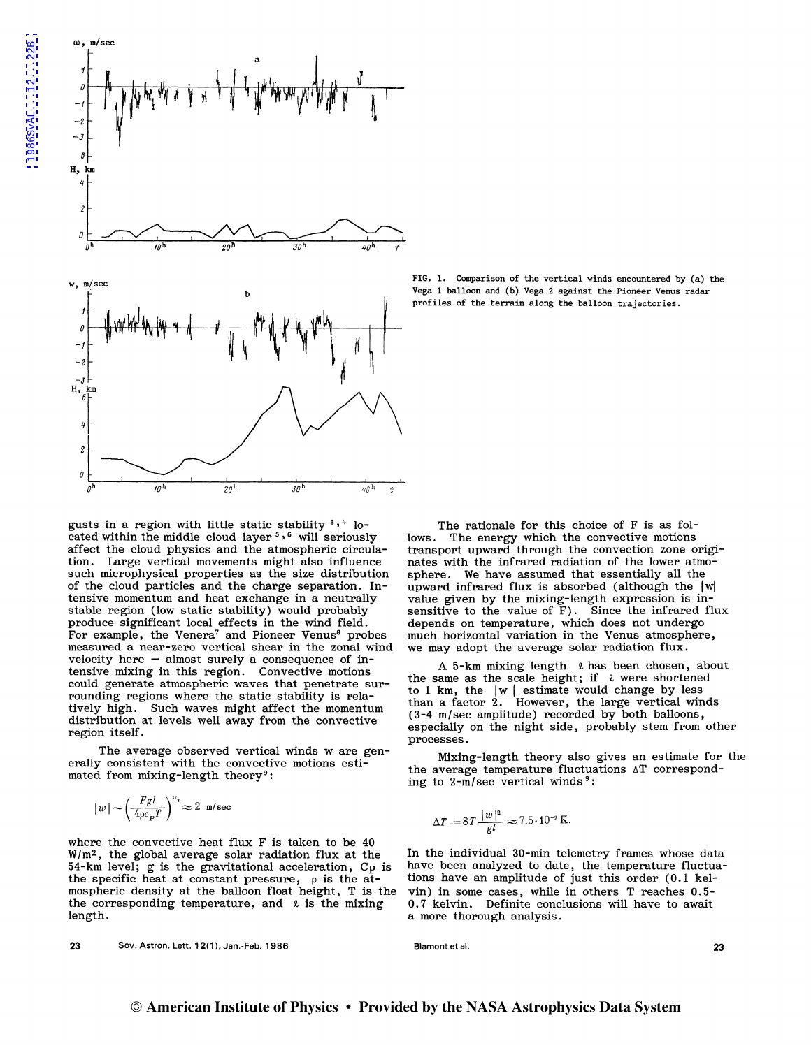

gusts in a region with little static stability  $3'$ ,  $4$  located within the middle cloud layer 5 • 6 will seriously affect the cloud physics and the atmospheric circulation. Large vertical movements might also influence such microphysical properties as the size distribution of the cloud particles and the charge separation. Intensive momentum and heat exchange in a neutrally stable region (low static stability) would probably produce significant local effects in the wind field. For example, the Venera<sup>7</sup> and Pioneer Venus<sup>8</sup> probes measured a near-zero vertical shear in the zonal wind velocity here  $-$  almost surely a consequence of intensive mixing in this region. Convective motions could generate atmospheric waves that penetrate surrounding regions where the static stability is relatively high. Such waves might affect the momentum distribution at levels well away from the convective region itself.

The average observed vertical winds w are generally consistent with the convective motions estimated from mixing-length theory<sup>9</sup>:

$$
|\,w\,| \!\sim\! \left(\!\frac{Fgl}{4\wp c_{\,p}T}\right)^{\nu_{\rm s}}\!\approx 2~{\rm m/sec}
$$

where the convective heat flux F is taken to be 40  $W/m<sup>2</sup>$ , the global average solar radiation flux at the 54-km level; g is the gravitational acceleration, Cp is the specific heat at constant pressure,  $\rho$  is the atmospheric density at the balloon float height, T is the the corresponding temperature, and  $\ell$  is the mixing length.

23 Sov.Astron. Lett.12(1),Jan.-Feb.1986

FIG. 1. Comparison of the vertical winds encountered by (a) the Vega 1 balloon and (b) Vega 2 against the Pioneer Venus radar profiles of the terrain along the balloon trajectories.

The rationale for this choice of F is as follows. The energy which the convective motions transport upward through the convection zone originates with the infrared radiation of the lower atmosphere. We have assumed that essentially all the upward infrared flux is absorbed (although the  $|w|$ value given by the mixing-length expression is insensitive to the value of F). Since the infrared flux depends on temperature, which does not undergo much horizontal variation in the Venus atmosphere, we may adopt the average solar radiation flux.

A 5-km mixing length  $\ell$  has been chosen, about the same as the scale height; if  $\ell$  were shortened to 1 km, the  $|w|$  estimate would change by less than a factor 2. However, the large vertical winds (3-4 m/sec amplitude) recorded by both balloons, especially on the night side, probably stem from other processes.

Mixing-length theory also gives an estimate for the the average temperature fluctuations  $\Delta T$  corresponding to  $2-m/sec$  vertical winds<sup>9</sup>:

$$
\Delta T = 8T \frac{|w|^2}{gl} \approx 7.5 \cdot 10^{-2} \,\mathrm{K}.
$$

In the individual 30-min telemetry frames whose data have been analyzed to date, the temperature fluctuations have an amplitude of just this order (0.1 kelvin) in some cases, while in others T reaches 0.5- 0.7 kelvin. Definite conclusions will have to await a more thorough analysis.

Blamont et al. 23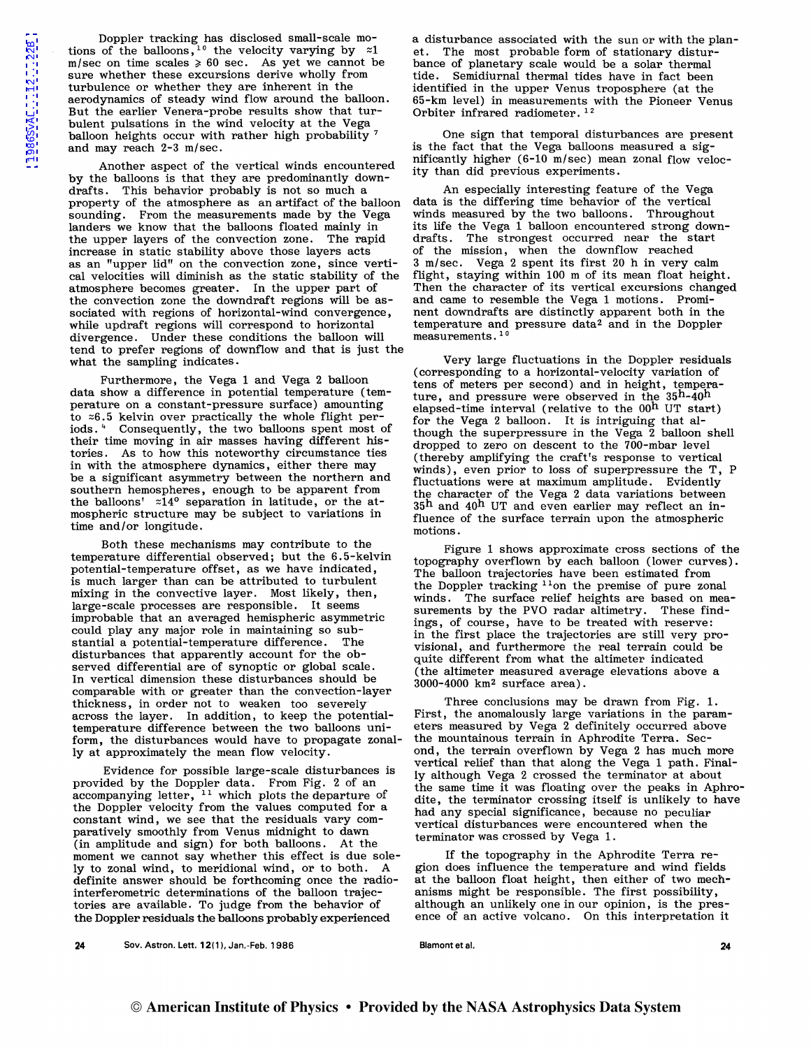Doppler tracking has disclosed small-scale motions of the balloons,  $e^{10}$  the velocity varying by  $z1$ m/sec on time scales  $\geq 60$  sec. As yet we cannot be sure whether these excursions derive wholly from turbulence or whether they are inherent in the aerodynamics of steady wind flow around the balloon. But the earlier Venera-probe results show that turbulent pulsations in the wind velocity at the Vega balloon heights occur with rather high probability 7 and may reach 2-3 m/sec.

Another aspect of the vertical winds encountered by the balloons is that they are predominantly downdrafts. This behavior probably is not so much a property of the atmosphere as an artifact of the balloon sounding. From the measurements made by the Vega landers we know that the balloons floated mainly in the upper layers of the convection zone. The rapid increase in static stability above those layers acts as an "upper lid" on the convection zone, since vertical velocities will diminish as the static stability of the atmosphere becomes greater. In the upper part of the convection zone the downdraft regions will be associated with regions of horizontal-wind convergence, while updraft regions will correspond to horizontal divergence. Under these conditions the balloon will tend to prefer regions of downflow and that is just the what the sampling indicates.

Furthermore, the Vega 1 and Vega 2 balloon data show a difference in potential temperature (temperature on a constant-pressure surface) amounting to  $z6.5$  kelvin over practically the whole flight periods. 4 Consequently, the two balloons spent most of their time moving in air masses having different histories. As to how this noteworthy circumstance ties in with the atmosphere dynamics, either there may be a significant asymmetry between the northern and southern hemospheres, enough to be apparent from the balloons'  $z14^{\circ}$  separation in latitude, or the atmospheric structure may be subject to variations in time and/or longitude.

Both these mechanisms may contribute to the temperature differential observed; but the 6.5-kelvin potential-temperature offset, as we have indicated, is much larger than can be attributed to turbulent mixing in the convective layer. Most likely, then, large-scale processes are responsible. It seems improbable that an averaged hemispheric asymmetric could play any major role in maintaining so sub-<br>stantial a potential-temperature difference. The stantial a potential-temperature difference. disturbances that apparently account for the observed differential are of synoptic or global scale. In vertical dimension these disturbances should be comparable with or greater than the convection-layer thickness, in order not to weaken too severely across the layer. In addition, to keep the potentialtemperature difference between the two balloons uniform, the disturbances would have to propagate zonally at approximately the mean flow velocity.

Evidence for possible large-scale disturbances is provided by the Doppler data. From Fig. 2 of an  $\alpha$ ccompanying letter,  $\frac{11}{11}$  which plots the departure of the Doppler velocity from the values computed for a constant wind, we see that the residuals vary comparatively smoothly from Venus midnight to dawn (in amplitude and sign) for both balloons. At the moment we cannot say whether this effect is due solely to zonal wind, to meridional wind, or to both. A definite answer should be forthcoming once the radiointerferometric determinations of the balloon trajectories are available. To judge from the behavior of the Doppler residuals the balloons probably experienced

a disturbance associated with the sun or with the planet. The most probable form of stationary disturbance of planetary scale would be a solar thermal tide. Semidiurnal thermal tides have in fact been identified in the upper Venus troposphere (at the 65-km level) in measurements with the Pioneer Venus Orbiter infrared radiometer.<sup>12</sup>

One sign that temporal disturbances are present is the fact that the Vega balloons measured a significantly higher (6-10 m/sec) mean zonal flow velocity than did previous experiments.

An especially interesting feature of the Vega data is the differing time behavior of the vertical winds measured by the two balloons. Throughout its life the Vega 1 balloon encountered strong downdrafts. The strongest occurred near the start of the mission, when the downflow reached 3 m/sec. Vega 2 spent its first 20 h in very calm flight, staying within 100 m of its mean float height. Then the character of its vertical excursions changed and came to resemble the Vega 1 motions. Prominent downdrafts are distinctly apparent both in the temperature and pressure data2 and in the Doppler measurements.<sup>1</sup>

Very large fluctuations in the Doppler residuals (corresponding to a horizontal-velocity variation of tens of meters per second) and in height, temperature, and pressure were observed in the  $35^{\text{h}}$ -40<sup>h</sup> elapsed-time interval (relative to the  $00<sup>h</sup>$  UT start) for the Vega 2 balloon. It is intriguing that although the superpressure in the Vega 2 balloon shell dropped to zero on descent to the 700-mbar level (thereby amplifying the craft's response to vertical winds), even prior to loss of superpressure the T, P fluctuations were at maximum amplitude. Evidently the character of the Vega 2 data variations between 35<sup>h</sup> and 40<sup>h</sup> UT and even earlier may reflect an influence of the surface terrain upon the atmospheric motions.

Figure 1 shows approximate cross sections of the topography overflown by each balloon (lower curves). The balloon trajectories have been estimated from the Doppler tracking <sup>11</sup>on the premise of pure zonal winds. The surface relief heights are based on measurements by the PVO radar altimetry. These findings, of course, have to be treated with reserve: in the first place the trajectories are still very provisional, and furthermore the real terrain could be quite different from what the altimeter indicated (the altimeter measured average elevations above a 3000-4000 km2 surface area).

Three conclusions may be drawn from Fig. 1. First, the anomalously large variations in the parameters measured by Vega 2 definitely occurred above the mountainous terrain in Aphrodite Terra. Second, the terrain overflown by Vega 2 has much more vertical relief than that along the Vega 1 path. Finally although Vega 2 crossed the terminator at about the same time it was floating over the peaks in Aphrodite, the terminator crossing itself is unlikely to have had any special significance, because no peculiar vertical disturbances were encountered when the terminator was crossed by Vega 1.

If the topography in the Aphrodite Terra region does influence the temperature and wind fields at the balloon float height, then either of two mechanisms might be responsible. The first possibility, although an unlikely one in our opinion, is the presence of an active volcano. On this interpretation it

24 Sov. Astron. Lett. 12(1), Jan.-Feb. 1986

Blamont et al. 24